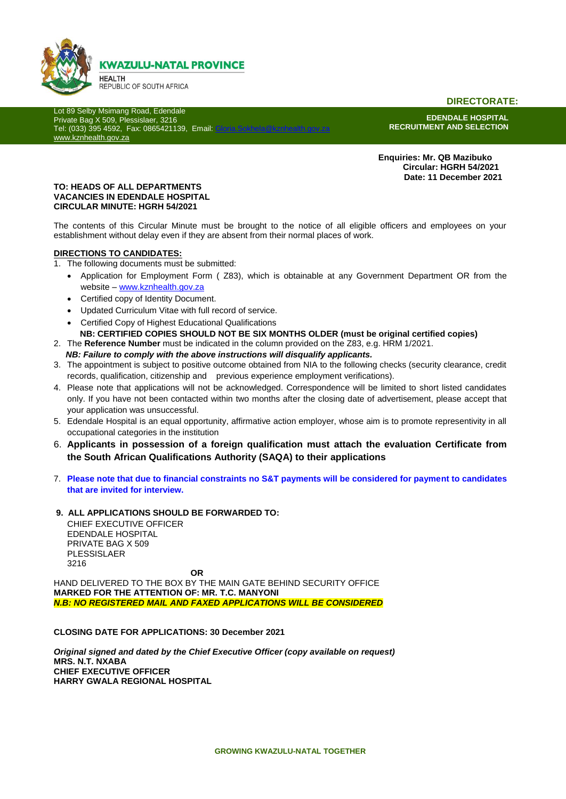

**DIRECTORATE:**

Lot 89 Selby Msimang Road, Edendale Private Bag X 509, Plessislaer, 3216 Tel: (033) 395 4592, Fax: 0865421139, Email: [www.kznhealth.gov.za](http://www.kznhealth.gov.za/)

**EDENDALE HOSPITAL RECRUITMENT AND SELECTION**

 **Enquiries: Mr. QB Mazibuko Circular: HGRH 54/2021 Date: 11 December 2021**

#### **TO: HEADS OF ALL DEPARTMENTS VACANCIES IN EDENDALE HOSPITAL CIRCULAR MINUTE: HGRH 54/2021**

The contents of this Circular Minute must be brought to the notice of all eligible officers and employees on your establishment without delay even if they are absent from their normal places of work.

#### **DIRECTIONS TO CANDIDATES:**

- 1. The following documents must be submitted:
	- Application for Employment Form ( Z83), which is obtainable at any Government Department OR from the website – [www.kznhealth.gov.za](http://www.kznhealth.gov.za/)
	- Certified copy of Identity Document.
	- Updated Curriculum Vitae with full record of service.
	- Certified Copy of Highest Educational Qualifications
	- **NB: CERTIFIED COPIES SHOULD NOT BE SIX MONTHS OLDER (must be original certified copies)**
- 2. The **Reference Number** must be indicated in the column provided on the Z83, e.g. HRM 1/2021.  *NB: Failure to comply with the above instructions will disqualify applicants.*
- 3. The appointment is subject to positive outcome obtained from NIA to the following checks (security clearance, credit records, qualification, citizenship and previous experience employment verifications).
- 4. Please note that applications will not be acknowledged. Correspondence will be limited to short listed candidates only. If you have not been contacted within two months after the closing date of advertisement, please accept that your application was unsuccessful.
- 5. Edendale Hospital is an equal opportunity, affirmative action employer, whose aim is to promote representivity in all occupational categories in the institution
- 6. **Applicants in possession of a foreign qualification must attach the evaluation Certificate from the South African Qualifications Authority (SAQA) to their applications**
- 7. **Please note that due to financial constraints no S&T payments will be considered for payment to candidates that are invited for interview.**
- **9. ALL APPLICATIONS SHOULD BE FORWARDED TO:**

CHIEF EXECUTIVE OFFICER EDENDALE HOSPITAL PRIVATE BAG X 509 PLESSISLAER 3216 **OR** HAND DELIVERED TO THE BOX BY THE MAIN GATE BEHIND SECURITY OFFICE

**MARKED FOR THE ATTENTION OF: MR. T.C. MANYONI** *N.B: NO REGISTERED MAIL AND FAXED APPLICATIONS WILL BE CONSIDERED*

**CLOSING DATE FOR APPLICATIONS: 30 December 2021**

*Original signed and dated by the Chief Executive Officer (copy available on request)* **MRS. N.T. NXABA CHIEF EXECUTIVE OFFICER HARRY GWALA REGIONAL HOSPITAL**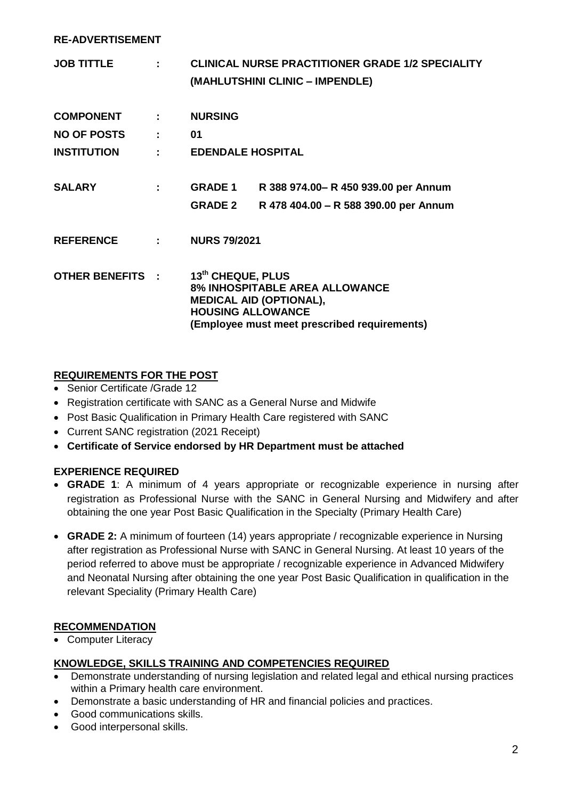| <b>RE-ADVERTISEMENT</b> |                          |                                                                                                                                                                   |                                                                               |
|-------------------------|--------------------------|-------------------------------------------------------------------------------------------------------------------------------------------------------------------|-------------------------------------------------------------------------------|
| <b>JOB TITTLE</b>       | $1 - 1 - 1$              | <b>CLINICAL NURSE PRACTITIONER GRADE 1/2 SPECIALITY</b><br>(MAHLUTSHINI CLINIC - IMPENDLE)                                                                        |                                                                               |
| <b>COMPONENT</b>        | <b>Contract Contract</b> | <b>NURSING</b>                                                                                                                                                    |                                                                               |
| NO OF POSTS :           |                          | 01                                                                                                                                                                |                                                                               |
| <b>INSTITUTION</b>      | <b>Contractor</b>        | <b>EDENDALE HOSPITAL</b>                                                                                                                                          |                                                                               |
| <b>SALARY</b>           | $\mathbf{f}(\mathbf{r})$ | <b>GRADE 1</b><br><b>GRADE 2</b>                                                                                                                                  | R 388 974.00- R 450 939.00 per Annum<br>R 478 404.00 - R 588 390.00 per Annum |
| REFERENCE:              |                          | <b>NURS 79/2021</b>                                                                                                                                               |                                                                               |
| <b>OTHER BENEFITS :</b> |                          | 13th CHEQUE, PLUS<br>8% INHOSPITABLE AREA ALLOWANCE<br><b>MEDICAL AID (OPTIONAL),</b><br><b>HOUSING ALLOWANCE</b><br>(Employee must meet prescribed requirements) |                                                                               |

# **REQUIREMENTS FOR THE POST**

- Senior Certificate /Grade 12
- Registration certificate with SANC as a General Nurse and Midwife
- Post Basic Qualification in Primary Health Care registered with SANC
- Current SANC registration (2021 Receipt)
- **Certificate of Service endorsed by HR Department must be attached**

## **EXPERIENCE REQUIRED**

- **GRADE 1**: A minimum of 4 years appropriate or recognizable experience in nursing after registration as Professional Nurse with the SANC in General Nursing and Midwifery and after obtaining the one year Post Basic Qualification in the Specialty (Primary Health Care)
- **GRADE 2:** A minimum of fourteen (14) years appropriate / recognizable experience in Nursing after registration as Professional Nurse with SANC in General Nursing. At least 10 years of the period referred to above must be appropriate / recognizable experience in Advanced Midwifery and Neonatal Nursing after obtaining the one year Post Basic Qualification in qualification in the relevant Speciality (Primary Health Care)

# **RECOMMENDATION**

• Computer Literacy

## **KNOWLEDGE, SKILLS TRAINING AND COMPETENCIES REQUIRED**

- Demonstrate understanding of nursing legislation and related legal and ethical nursing practices within a Primary health care environment.
- Demonstrate a basic understanding of HR and financial policies and practices.
- Good communications skills.
- Good interpersonal skills.